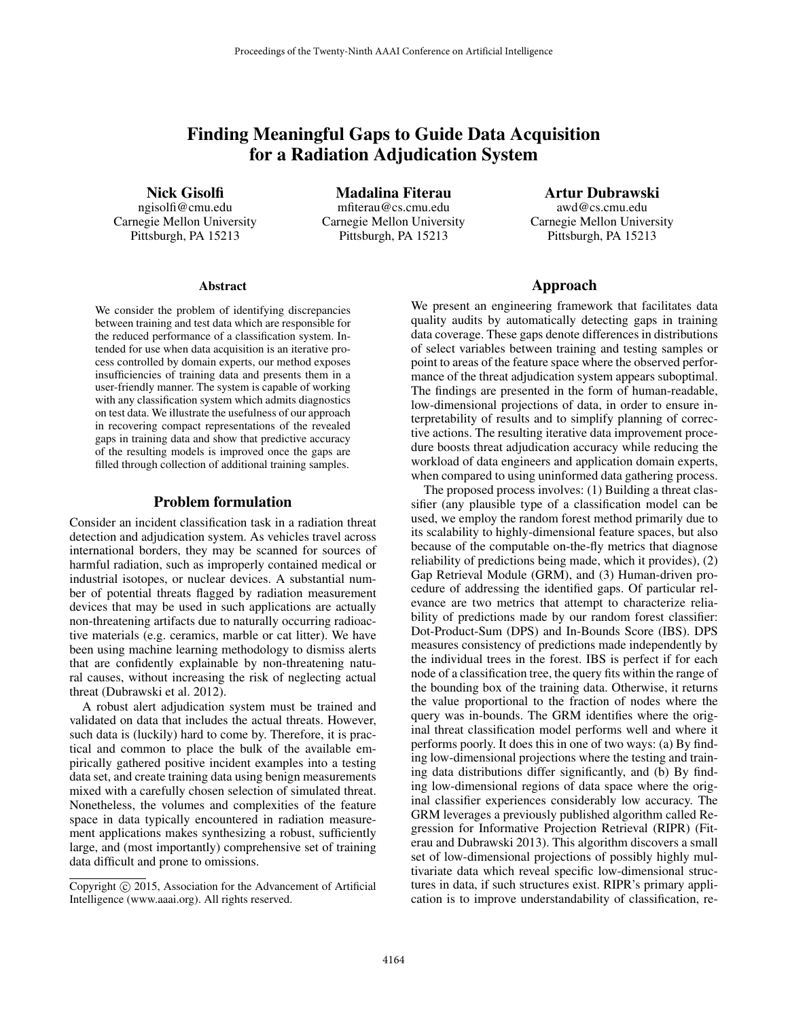# Finding Meaningful Gaps to Guide Data Acquisition for a Radiation Adjudication System

Nick Gisolfi

ngisolfi@cmu.edu Carnegie Mellon University Pittsburgh, PA 15213

Madalina Fiterau mfiterau@cs.cmu.edu Carnegie Mellon University Pittsburgh, PA 15213

Artur Dubrawski awd@cs.cmu.edu Carnegie Mellon University Pittsburgh, PA 15213

#### Abstract

We consider the problem of identifying discrepancies between training and test data which are responsible for the reduced performance of a classification system. Intended for use when data acquisition is an iterative process controlled by domain experts, our method exposes insufficiencies of training data and presents them in a user-friendly manner. The system is capable of working with any classification system which admits diagnostics on test data. We illustrate the usefulness of our approach in recovering compact representations of the revealed gaps in training data and show that predictive accuracy of the resulting models is improved once the gaps are filled through collection of additional training samples.

# Problem formulation

Consider an incident classification task in a radiation threat detection and adjudication system. As vehicles travel across international borders, they may be scanned for sources of harmful radiation, such as improperly contained medical or industrial isotopes, or nuclear devices. A substantial number of potential threats flagged by radiation measurement devices that may be used in such applications are actually non-threatening artifacts due to naturally occurring radioactive materials (e.g. ceramics, marble or cat litter). We have been using machine learning methodology to dismiss alerts that are confidently explainable by non-threatening natural causes, without increasing the risk of neglecting actual threat (Dubrawski et al. 2012).

A robust alert adjudication system must be trained and validated on data that includes the actual threats. However, such data is (luckily) hard to come by. Therefore, it is practical and common to place the bulk of the available empirically gathered positive incident examples into a testing data set, and create training data using benign measurements mixed with a carefully chosen selection of simulated threat. Nonetheless, the volumes and complexities of the feature space in data typically encountered in radiation measurement applications makes synthesizing a robust, sufficiently large, and (most importantly) comprehensive set of training data difficult and prone to omissions.

### Approach

We present an engineering framework that facilitates data quality audits by automatically detecting gaps in training data coverage. These gaps denote differences in distributions of select variables between training and testing samples or point to areas of the feature space where the observed performance of the threat adjudication system appears suboptimal. The findings are presented in the form of human-readable, low-dimensional projections of data, in order to ensure interpretability of results and to simplify planning of corrective actions. The resulting iterative data improvement procedure boosts threat adjudication accuracy while reducing the workload of data engineers and application domain experts, when compared to using uninformed data gathering process.

The proposed process involves: (1) Building a threat classifier (any plausible type of a classification model can be used, we employ the random forest method primarily due to its scalability to highly-dimensional feature spaces, but also because of the computable on-the-fly metrics that diagnose reliability of predictions being made, which it provides), (2) Gap Retrieval Module (GRM), and (3) Human-driven procedure of addressing the identified gaps. Of particular relevance are two metrics that attempt to characterize reliability of predictions made by our random forest classifier: Dot-Product-Sum (DPS) and In-Bounds Score (IBS). DPS measures consistency of predictions made independently by the individual trees in the forest. IBS is perfect if for each node of a classification tree, the query fits within the range of the bounding box of the training data. Otherwise, it returns the value proportional to the fraction of nodes where the query was in-bounds. The GRM identifies where the original threat classification model performs well and where it performs poorly. It does this in one of two ways: (a) By finding low-dimensional projections where the testing and training data distributions differ significantly, and (b) By finding low-dimensional regions of data space where the original classifier experiences considerably low accuracy. The GRM leverages a previously published algorithm called Regression for Informative Projection Retrieval (RIPR) (Fiterau and Dubrawski 2013). This algorithm discovers a small set of low-dimensional projections of possibly highly multivariate data which reveal specific low-dimensional structures in data, if such structures exist. RIPR's primary application is to improve understandability of classification, re-

Copyright © 2015, Association for the Advancement of Artificial Intelligence (www.aaai.org). All rights reserved.